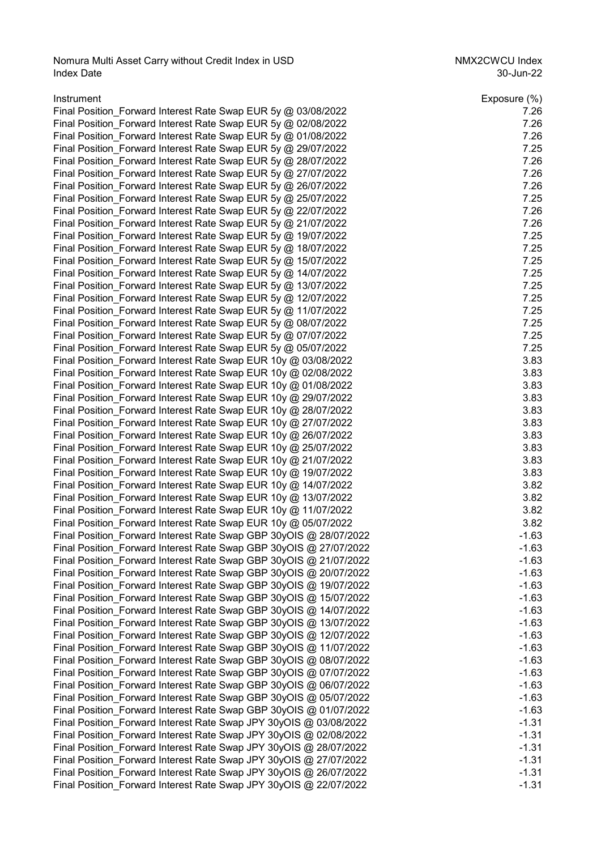Nomura Multi Asset Carry without Credit Index in USD<br>22-Index Date discussed the S0-Jun-22 Index Date 30-Jun-22

| Instrument                                                        | Exposure (%) |
|-------------------------------------------------------------------|--------------|
| Final Position Forward Interest Rate Swap EUR 5y @ 03/08/2022     | 7.26         |
| Final Position Forward Interest Rate Swap EUR 5y @ 02/08/2022     | 7.26         |
| Final Position_Forward Interest Rate Swap EUR 5y @ 01/08/2022     | 7.26         |
| Final Position Forward Interest Rate Swap EUR 5y @ 29/07/2022     | 7.25         |
| Final Position Forward Interest Rate Swap EUR 5y @ 28/07/2022     | 7.26         |
| Final Position_Forward Interest Rate Swap EUR 5y @ 27/07/2022     | 7.26         |
| Final Position_Forward Interest Rate Swap EUR 5y @ 26/07/2022     | 7.26         |
| Final Position Forward Interest Rate Swap EUR 5y @ 25/07/2022     | 7.25         |
| Final Position_Forward Interest Rate Swap EUR 5y @ 22/07/2022     | 7.26         |
| Final Position Forward Interest Rate Swap EUR 5y @ 21/07/2022     | 7.26         |
| Final Position_Forward Interest Rate Swap EUR 5y @ 19/07/2022     | 7.25         |
| Final Position_Forward Interest Rate Swap EUR 5y @ 18/07/2022     | 7.25         |
| Final Position_Forward Interest Rate Swap EUR 5y @ 15/07/2022     | 7.25         |
| Final Position_Forward Interest Rate Swap EUR 5y @ 14/07/2022     | 7.25         |
| Final Position_Forward Interest Rate Swap EUR 5y @ 13/07/2022     | 7.25         |
| Final Position_Forward Interest Rate Swap EUR 5y @ 12/07/2022     | 7.25         |
| Final Position_Forward Interest Rate Swap EUR 5y @ 11/07/2022     | 7.25         |
| Final Position_Forward Interest Rate Swap EUR 5y @ 08/07/2022     | 7.25         |
| Final Position Forward Interest Rate Swap EUR 5y @ 07/07/2022     | 7.25         |
| Final Position_Forward Interest Rate Swap EUR 5y @ 05/07/2022     | 7.25         |
| Final Position_Forward Interest Rate Swap EUR 10y @ 03/08/2022    | 3.83         |
| Final Position_Forward Interest Rate Swap EUR 10y @ 02/08/2022    | 3.83         |
| Final Position_Forward Interest Rate Swap EUR 10y @ 01/08/2022    | 3.83         |
| Final Position_Forward Interest Rate Swap EUR 10y @ 29/07/2022    | 3.83         |
| Final Position Forward Interest Rate Swap EUR 10y @ 28/07/2022    | 3.83         |
| Final Position_Forward Interest Rate Swap EUR 10y @ 27/07/2022    | 3.83         |
| Final Position_Forward Interest Rate Swap EUR 10y @ 26/07/2022    | 3.83         |
| Final Position_Forward Interest Rate Swap EUR 10y @ 25/07/2022    | 3.83         |
| Final Position_Forward Interest Rate Swap EUR 10y @ 21/07/2022    | 3.83         |
| Final Position Forward Interest Rate Swap EUR 10y @ 19/07/2022    | 3.83         |
| Final Position Forward Interest Rate Swap EUR 10y @ 14/07/2022    | 3.82         |
| Final Position_Forward Interest Rate Swap EUR 10y @ 13/07/2022    | 3.82         |
| Final Position_Forward Interest Rate Swap EUR 10y @ 11/07/2022    | 3.82         |
| Final Position Forward Interest Rate Swap EUR 10y @ 05/07/2022    | 3.82         |
| Final Position Forward Interest Rate Swap GBP 30yOIS @ 28/07/2022 | $-1.63$      |
| Final Position Forward Interest Rate Swap GBP 30yOIS @ 27/07/2022 | $-1.63$      |
| Final Position_Forward Interest Rate Swap GBP 30yOIS @ 21/07/2022 | $-1.63$      |
|                                                                   |              |
| Final Position_Forward Interest Rate Swap GBP 30yOIS @ 20/07/2022 | $-1.63$      |
| Final Position_Forward Interest Rate Swap GBP 30yOIS @ 19/07/2022 | $-1.63$      |
| Final Position Forward Interest Rate Swap GBP 30yOIS @ 15/07/2022 | $-1.63$      |
| Final Position_Forward Interest Rate Swap GBP 30yOIS @ 14/07/2022 | $-1.63$      |
| Final Position_Forward Interest Rate Swap GBP 30yOIS @ 13/07/2022 | $-1.63$      |
| Final Position_Forward Interest Rate Swap GBP 30yOIS @ 12/07/2022 | $-1.63$      |
| Final Position Forward Interest Rate Swap GBP 30yOIS @ 11/07/2022 | $-1.63$      |
| Final Position Forward Interest Rate Swap GBP 30yOIS @ 08/07/2022 | $-1.63$      |
| Final Position Forward Interest Rate Swap GBP 30yOIS @ 07/07/2022 | $-1.63$      |
| Final Position_Forward Interest Rate Swap GBP 30yOIS @ 06/07/2022 | $-1.63$      |
| Final Position_Forward Interest Rate Swap GBP 30yOIS @ 05/07/2022 | $-1.63$      |
| Final Position_Forward Interest Rate Swap GBP 30yOIS @ 01/07/2022 | $-1.63$      |
| Final Position Forward Interest Rate Swap JPY 30yOIS @ 03/08/2022 | $-1.31$      |
| Final Position Forward Interest Rate Swap JPY 30yOIS @ 02/08/2022 | $-1.31$      |
| Final Position_Forward Interest Rate Swap JPY 30yOIS @ 28/07/2022 | $-1.31$      |
| Final Position Forward Interest Rate Swap JPY 30yOIS @ 27/07/2022 | $-1.31$      |
| Final Position_Forward Interest Rate Swap JPY 30yOIS @ 26/07/2022 | $-1.31$      |
| Final Position_Forward Interest Rate Swap JPY 30yOIS @ 22/07/2022 | $-1.31$      |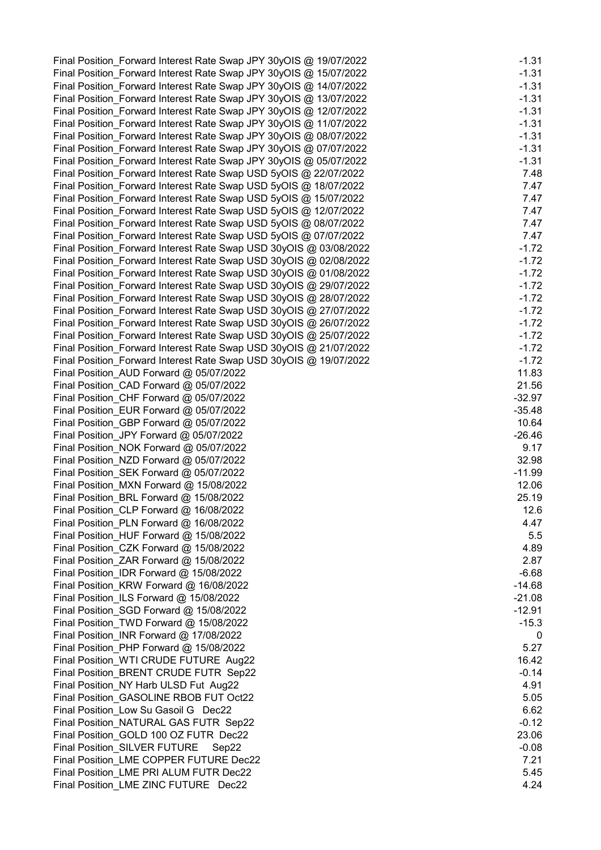| Final Position Forward Interest Rate Swap JPY 30yOIS @ 19/07/2022 | $-1.31$  |
|-------------------------------------------------------------------|----------|
|                                                                   |          |
| Final Position Forward Interest Rate Swap JPY 30yOIS @ 15/07/2022 | $-1.31$  |
| Final Position Forward Interest Rate Swap JPY 30yOIS @ 14/07/2022 | $-1.31$  |
| Final Position_Forward Interest Rate Swap JPY 30yOIS @ 13/07/2022 | $-1.31$  |
| Final Position_Forward Interest Rate Swap JPY 30yOIS @ 12/07/2022 | $-1.31$  |
| Final Position_Forward Interest Rate Swap JPY 30yOIS @ 11/07/2022 | $-1.31$  |
| Final Position Forward Interest Rate Swap JPY 30yOIS @ 08/07/2022 | $-1.31$  |
| Final Position_Forward Interest Rate Swap JPY 30yOIS @ 07/07/2022 | $-1.31$  |
|                                                                   |          |
| Final Position_Forward Interest Rate Swap JPY 30yOIS @ 05/07/2022 | $-1.31$  |
| Final Position Forward Interest Rate Swap USD 5yOIS @ 22/07/2022  | 7.48     |
| Final Position Forward Interest Rate Swap USD 5yOIS @ 18/07/2022  | 7.47     |
| Final Position_Forward Interest Rate Swap USD 5yOIS @ 15/07/2022  | 7.47     |
| Final Position_Forward Interest Rate Swap USD 5yOIS @ 12/07/2022  | 7.47     |
| Final Position_Forward Interest Rate Swap USD 5yOIS @ 08/07/2022  | 7.47     |
| Final Position_Forward Interest Rate Swap USD 5yOIS @ 07/07/2022  | 7.47     |
| Final Position_Forward Interest Rate Swap USD 30yOIS @ 03/08/2022 | $-1.72$  |
| Final Position_Forward Interest Rate Swap USD 30yOIS @ 02/08/2022 | $-1.72$  |
|                                                                   |          |
| Final Position_Forward Interest Rate Swap USD 30yOIS @ 01/08/2022 | $-1.72$  |
| Final Position Forward Interest Rate Swap USD 30yOIS @ 29/07/2022 | $-1.72$  |
| Final Position Forward Interest Rate Swap USD 30yOIS @ 28/07/2022 | $-1.72$  |
| Final Position_Forward Interest Rate Swap USD 30yOIS @ 27/07/2022 | $-1.72$  |
| Final Position Forward Interest Rate Swap USD 30yOIS @ 26/07/2022 | $-1.72$  |
| Final Position_Forward Interest Rate Swap USD 30yOIS @ 25/07/2022 | $-1.72$  |
| Final Position_Forward Interest Rate Swap USD 30yOIS @ 21/07/2022 | $-1.72$  |
| Final Position_Forward Interest Rate Swap USD 30yOIS @ 19/07/2022 | $-1.72$  |
|                                                                   | 11.83    |
| Final Position_AUD Forward @ 05/07/2022                           |          |
| Final Position_CAD Forward @ 05/07/2022                           | 21.56    |
| Final Position_CHF Forward @ 05/07/2022                           | $-32.97$ |
| Final Position_EUR Forward @ 05/07/2022                           | $-35.48$ |
| Final Position_GBP Forward @ 05/07/2022                           | 10.64    |
| Final Position_JPY Forward @ 05/07/2022                           | $-26.46$ |
| Final Position_NOK Forward @ 05/07/2022                           | 9.17     |
| Final Position_NZD Forward @ 05/07/2022                           | 32.98    |
| Final Position_SEK Forward @ 05/07/2022                           | $-11.99$ |
| Final Position_MXN Forward @ 15/08/2022                           | 12.06    |
|                                                                   |          |
| Final Position BRL Forward @ 15/08/2022                           | 25.19    |
| Final Position_CLP Forward @ 16/08/2022                           | 12.6     |
| Final Position_PLN Forward @ 16/08/2022                           | 4.47     |
| Final Position_HUF Forward @ 15/08/2022                           | 5.5      |
| Final Position_CZK Forward @ 15/08/2022                           | 4.89     |
| Final Position_ZAR Forward @ 15/08/2022                           | 2.87     |
| Final Position_IDR Forward @ 15/08/2022                           | $-6.68$  |
| Final Position_KRW Forward @ 16/08/2022                           | $-14.68$ |
| Final Position ILS Forward @ 15/08/2022                           | $-21.08$ |
| Final Position_SGD Forward @ 15/08/2022                           | $-12.91$ |
|                                                                   |          |
| Final Position_TWD Forward @ 15/08/2022                           | $-15.3$  |
| Final Position_INR Forward @ 17/08/2022                           | 0        |
| Final Position_PHP Forward @ 15/08/2022                           | 5.27     |
| Final Position_WTI CRUDE FUTURE Aug22                             | 16.42    |
| Final Position_BRENT CRUDE FUTR Sep22                             | $-0.14$  |
| Final Position NY Harb ULSD Fut Aug22                             | 4.91     |
| Final Position GASOLINE RBOB FUT Oct22                            | 5.05     |
| Final Position Low Su Gasoil G Dec22                              | 6.62     |
| Final Position NATURAL GAS FUTR Sep22                             | $-0.12$  |
|                                                                   |          |
| Final Position GOLD 100 OZ FUTR Dec22                             | 23.06    |
| <b>Final Position SILVER FUTURE</b><br>Sep22                      | $-0.08$  |
| Final Position_LME COPPER FUTURE Dec22                            | 7.21     |
| Final Position LME PRI ALUM FUTR Dec22                            | 5.45     |
| Final Position_LME ZINC FUTURE Dec22                              | 4.24     |